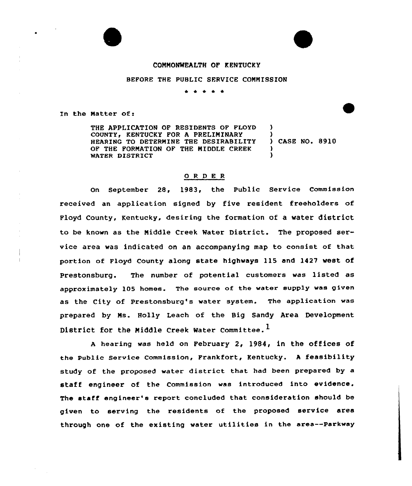### CONNONWEALTH OP KENTUCKY

BEFORE THE PUBLIC SERVICE CONNISSION

\* <sup>+</sup> \* \*

In the Matter of:

THE APPLICATION OF RESIDENTS OF FLOYD COUNTY, KENTUCKY FOR A PRELIMINARY HEARING TO DETERNINE THE DESIRABILITY OF THE FORNATION OF THE MIDDLE CREEK WATER DISTRICT ) ) ) CASE NO. 8910 ) )

## Q R D E R

On September 28, 1983, the Public Service Commission received an application signed by five resident freeholders of Floyd County, Kentucky, desiring the formation of a water district to be known as the Niddle Creek Water District. The proposed service area was indicated on an accompanying map to consist of that portion of Floyd County along state highways ll5 and 1427 west of Prestonsburg. The number of potential customers was listed as approximately 105 homes. The source of the water supply was given as the City of prestonsburg's water system. The application was prepared by Ms. Holly Leach of the Big Sandy Area Development District for the Middle Creek Water Committee.<sup>1</sup>

<sup>A</sup> hearing was held on February 2, 1984, in the offices of the public service commission, Frankfort, Kentucky. <sup>A</sup> feasibility study of the proposed water district that had been prepared by a staff engineer of the Commission was introduced into evidence, The staff engineer's report concluded that consideration should be given to serving the residents of the proposed service area through one of the existing water utilities in the area--parkway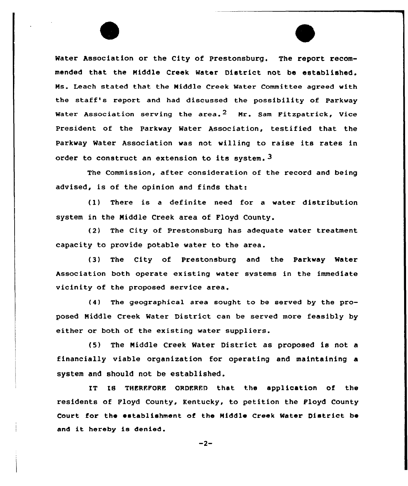Water Association or the City of Prestonsburg. The report recommended that the Middle Creek Water District not be established. Ns. Leach stated that the Middle Creek Water Committee agreed with the staff's report and had discussed the possibility of Parkway Water Association serving the area.<sup>2</sup> Mr. Sam Fitzpatrick, Vice president of the parkway Water Association, testified that the Parkway Water Association was not willing to raise its rates in order to construct an extension to its system. 3

The Commission, after considexation of the record and being advised, is of the opinion and finds that:

(1) There is a definite need for a water distribution system in the Niddle Creek area of Floyd County.

(2) The City of Prestonsburg has adequate water treatment capacity to provide potable water to the area.

(3) The City of Prestonsburg and the Parkway Water Association both opexate existing water svstems in the immediate vicinity of the proposed service area.

(4) The geographical axea sought to be served by the proposed Middle Creek Water District can be served more feasibly by either or both of the existing water suppliers.

(5) The Middle Creek Water District as proposed is not <sup>a</sup> financially viable organization for operating and maintaining a system and should not be established .

IT IS THERFFORE ORDERED that the application of the residents of Floyd County, Kentucky, to petition the Floyd County Court for the establishment of the Middle Creek Mater District be and it hereby is denied.

 $-2-$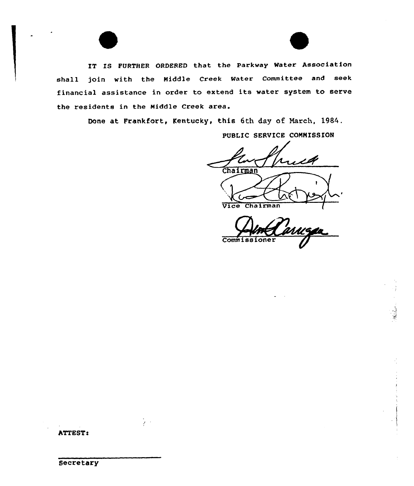IT IS FURTHER ORDERED that the Parkway Water Association shall join with the Niddle Creek Water Committee and seek financial assistance in order to extend its water system to serve the residents in the Hiddle Creek area.

Done at Frankfort, Kentucky, this 6th day of Narch, 1984.

PUBLIC SERVICE CONNISSION

Chairman

Vice Chairman

Commissioner

ATTEST!